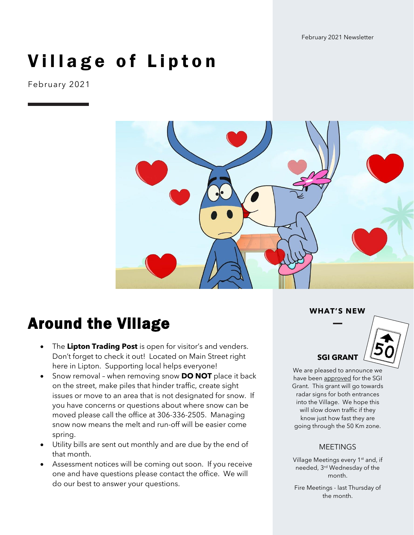February 2021 Newsletter

# Village of Lipton

February 2021



## Around the Village

- The **Lipton Trading Post** is open for visitor's and venders. Don't forget to check it out! Located on Main Street right here in Lipton. Supporting local helps everyone!
- Snow removal when removing snow **DO NOT** place it back on the street, make piles that hinder traffic, create sight issues or move to an area that is not designated for snow. If you have concerns or questions about where snow can be moved please call the office at 306-336-2505. Managing snow now means the melt and run-off will be easier come spring.
- Utility bills are sent out monthly and are due by the end of that month.
- Assessment notices will be coming out soon. If you receive one and have questions please contact the office. We will do our best to answer your questions.

#### **WHAT'S NEW**

### **SGI GRANT**

We are pleased to announce we have been approved for the SGI Grant. This grant will go towards radar signs for both entrances into the Village. We hope this will slow down traffic if they know just how fast they are going through the 50 Km zone.

#### MEETINGS

- Village Meetings every 1<sup>st</sup> and, if needed, 3 rd Wednesday of the month.
- Fire Meetings last Thursday of the month.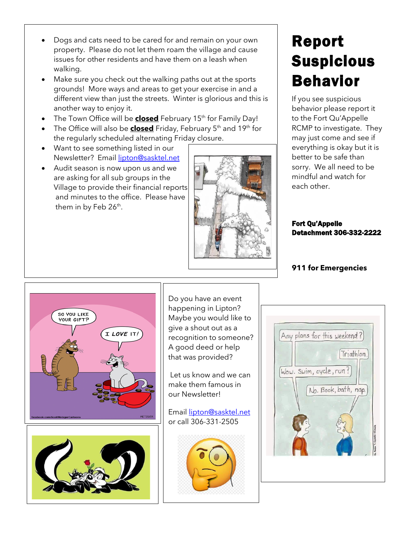- Dogs and cats need to be cared for and remain on your own property. Please do not let them roam the village and cause issues for other residents and have them on a leash when walking.
- Make sure you check out the walking paths out at the sports grounds! More ways and areas to get your exercise in and a different view than just the streets. Winter is glorious and this is another way to enjoy it.
- The Town Office will be **closed** February 15<sup>th</sup> for Family Day!
- The Office will also be **closed** Friday, February 5<sup>th</sup> and 19<sup>th</sup> for the regularly scheduled alternating Friday closure.
- Want to see something listed in our Newsletter? Emai[l lipton@sasktel.net](mailto:lipton@sasktel.net)
- Audit season is now upon us and we are asking for all sub groups in the Village to provide their financial reports and minutes to the office. Please have them in by Feb 26<sup>th</sup>.



# Report Suspicious Behavior

If you see suspicious behavior please report it to the Fort Qu'Appelle RCMP to investigate. They may just come and see if everything is okay but it is better to be safe than sorry. We all need to be mindful and watch for each other.

#### Fort Qu'Appelle Detachment 306-332-2222

### **911 for Emergencies**



Do you have an event happening in Lipton? Maybe you would like to give a shout out as a recognition to someone? A good deed or help that was provided?

Let us know and we can make them famous in our Newsletter!

Email [lipton@sasktel.net](mailto:lipton@sasktel.net) or call 306-331-2505



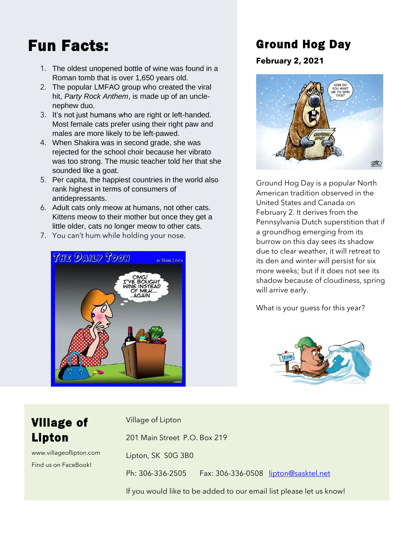## Fun Facts:

- 1. The oldest unopened bottle of wine was found in a Roman tomb that is over 1,650 years old.
- 2. The popular LMFAO group who created the viral hit, *Party Rock Anthem*, is made up of an unclenephew duo.
- 3. It's not just humans who are right or left-handed. Most female cats prefer using their right paw and males are more likely to be left-pawed.
- 4. When Shakira was in second grade, she was rejected for the school choir because her vibrato was too strong. The music teacher told her that she sounded like a goat.
- 5. Per capita, the happiest countries in the world also rank highest in terms of consumers of antidepressants.
- 6. Adult cats only meow at humans, not other cats. Kittens meow to their mother but once they get a little older, cats no longer meow to other cats.
- 7. You can't hum while holding your nose.



### Ground Hog Day

**February 2, 2021**



Ground Hog Day is a popular North American tradition observed in the United States and Canada on February 2. It derives from the Pennsylvania Dutch superstition that if a groundhog emerging from its burrow on this day sees its shadow due to clear weather, it will retreat to its den and winter will persist for six more weeks; but if it does not see its shadow because of cloudiness, spring will arrive early.

What is your guess for this year?



Village of Lipton www.villageoflipton.com Find us on FaceBook! Village of Lipton 201 Main Street P.O. Box 219 Lipton, SK S0G 3B0 Ph: 306-336-2505 Fax: 306-336-0508 [lipton@sasktel.net](mailto:lipton@sasktel.net) If you would like to be added to our email list please let us know!